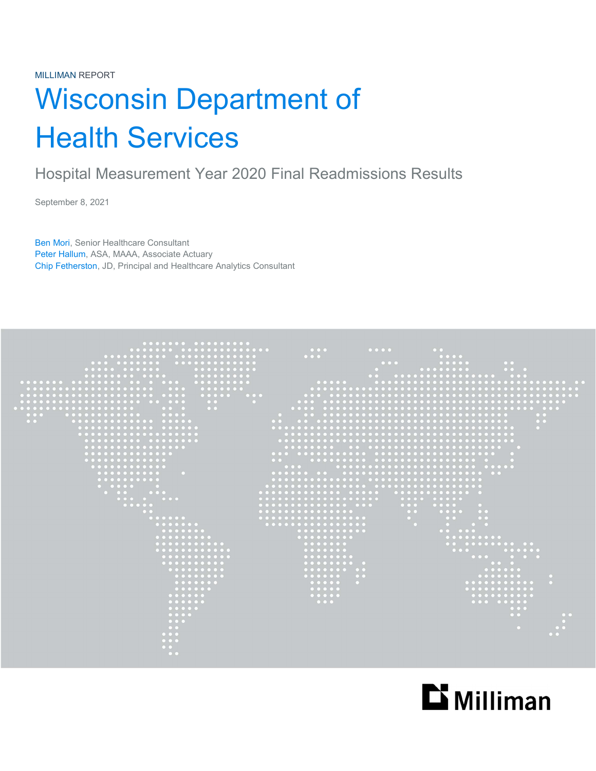# Wisconsin Department of Health Services

## Hospital Measurement Year 2020 Final Readmissions Results

September 8, 2021

Ben Mori, Senior Healthcare Consultant Peter Hallum, ASA, MAAA, Associate Actuary Chip Fetherston, JD, Principal and Healthcare Analytics Consultant



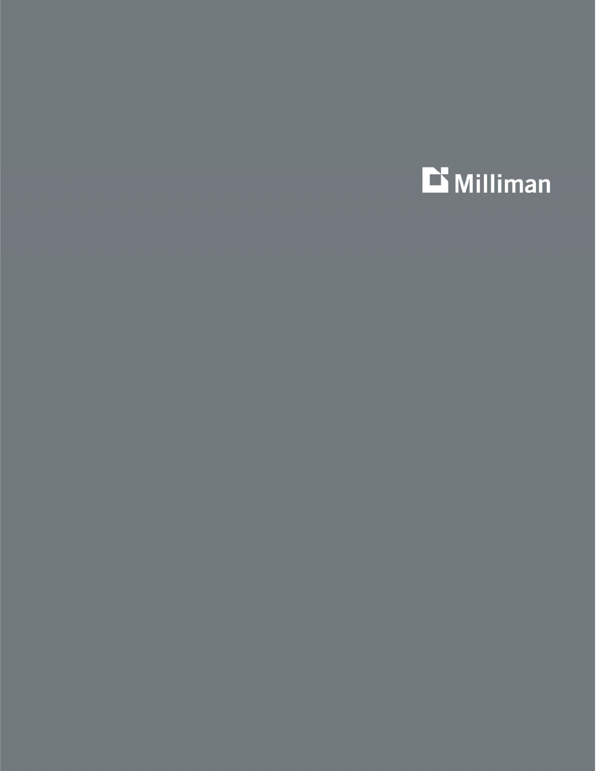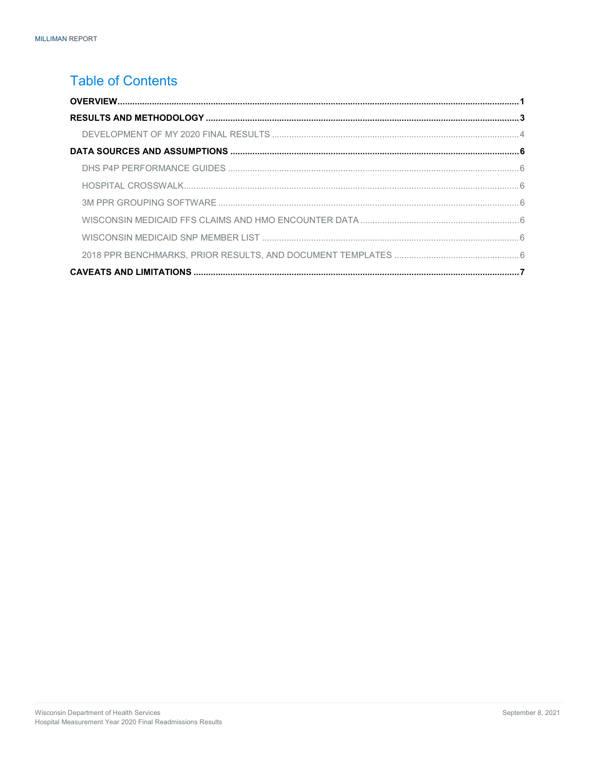## **Table of Contents**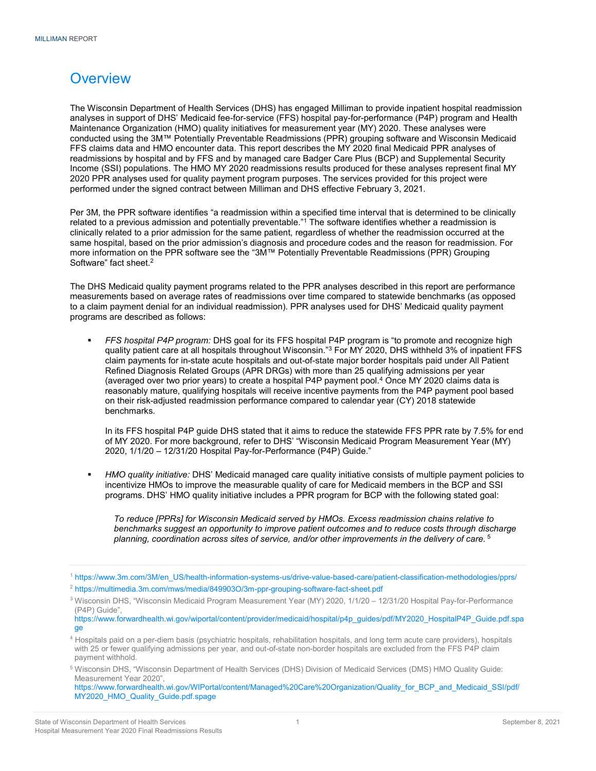## **Overview**

The Wisconsin Department of Health Services (DHS) has engaged Milliman to provide inpatient hospital readmission analyses in support of DHS' Medicaid fee-for-service (FFS) hospital pay-for-performance (P4P) program and Health Maintenance Organization (HMO) quality initiatives for measurement year (MY) 2020. These analyses were conducted using the 3M™ Potentially Preventable Readmissions (PPR) grouping software and Wisconsin Medicaid FFS claims data and HMO encounter data. This report describes the MY 2020 final Medicaid PPR analyses of readmissions by hospital and by FFS and by managed care Badger Care Plus (BCP) and Supplemental Security Income (SSI) populations. The HMO MY 2020 readmissions results produced for these analyses represent final MY 2020 PPR analyses used for quality payment program purposes. The services provided for this project were performed under the signed contract between Milliman and DHS effective February 3, 2021.

Per 3M, the PPR software identifies "a readmission within a specified time interval that is determined to be clinically related to a previous admission and potentially preventable."1 The software identifies whether a readmission is clinically related to a prior admission for the same patient, regardless of whether the readmission occurred at the same hospital, based on the prior admission's diagnosis and procedure codes and the reason for readmission. For more information on the PPR software see the "3M™ Potentially Preventable Readmissions (PPR) Grouping Software" fact sheet.<sup>2</sup>

The DHS Medicaid quality payment programs related to the PPR analyses described in this report are performance measurements based on average rates of readmissions over time compared to statewide benchmarks (as opposed to a claim payment denial for an individual readmission). PPR analyses used for DHS' Medicaid quality payment programs are described as follows:

FFS hospital P4P program: DHS goal for its FFS hospital P4P program is "to promote and recognize high quality patient care at all hospitals throughout Wisconsin."<sup>3</sup> For MY 2020, DHS withheld 3% of inpatient FFS claim payments for in-state acute hospitals and out-of-state major border hospitals paid under All Patient Refined Diagnosis Related Groups (APR DRGs) with more than 25 qualifying admissions per year (averaged over two prior years) to create a hospital P4P payment pool.<sup>4</sup> Once MY 2020 claims data is reasonably mature, qualifying hospitals will receive incentive payments from the P4P payment pool based on their risk-adjusted readmission performance compared to calendar year (CY) 2018 statewide benchmarks.

In its FFS hospital P4P guide DHS stated that it aims to reduce the statewide FFS PPR rate by 7.5% for end of MY 2020. For more background, refer to DHS' "Wisconsin Medicaid Program Measurement Year (MY) 2020, 1/1/20 – 12/31/20 Hospital Pay-for-Performance (P4P) Guide."

 HMO quality initiative: DHS' Medicaid managed care quality initiative consists of multiple payment policies to incentivize HMOs to improve the measurable quality of care for Medicaid members in the BCP and SSI programs. DHS' HMO quality initiative includes a PPR program for BCP with the following stated goal:

To reduce [PPRs] for Wisconsin Medicaid served by HMOs. Excess readmission chains relative to benchmarks suggest an opportunity to improve patient outcomes and to reduce costs through discharge planning, coordination across sites of service, and/or other improvements in the delivery of care.  $^5$ 

https://www.forwardhealth.wi.gov/WIPortal/content/Managed%20Care%20Organization/Quality\_for\_BCP\_and\_Medicaid\_SSI/pdf/ MY2020\_HMO\_Quality\_Guide.pdf.spage

<sup>1</sup> https://www.3m.com/3M/en\_US/health-information-systems-us/drive-value-based-care/patient-classification-methodologies/pprs/

<sup>2</sup> https://multimedia.3m.com/mws/media/849903O/3m-ppr-grouping-software-fact-sheet.pdf

<sup>3</sup> Wisconsin DHS, "Wisconsin Medicaid Program Measurement Year (MY) 2020, 1/1/20 – 12/31/20 Hospital Pay-for-Performance (P4P) Guide",

https://www.forwardhealth.wi.gov/wiportal/content/provider/medicaid/hospital/p4p\_guides/pdf/MY2020\_HospitalP4P\_Guide.pdf.spa ge

<sup>4</sup> Hospitals paid on a per-diem basis (psychiatric hospitals, rehabilitation hospitals, and long term acute care providers), hospitals with 25 or fewer qualifying admissions per year, and out-of-state non-border hospitals are excluded from the FFS P4P claim payment withhold.

<sup>&</sup>lt;sup>5</sup> Wisconsin DHS, "Wisconsin Department of Health Services (DHS) Division of Medicaid Services (DMS) HMO Quality Guide: Measurement Year 2020",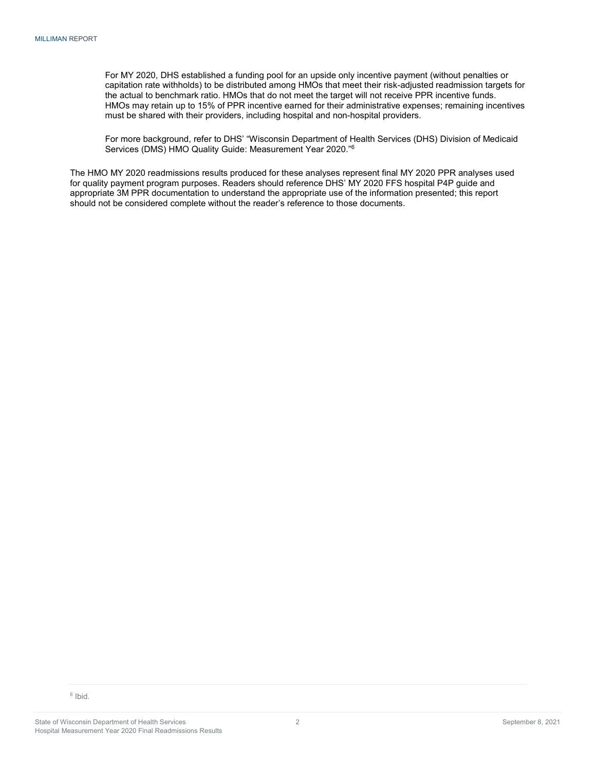For MY 2020, DHS established a funding pool for an upside only incentive payment (without penalties or capitation rate withholds) to be distributed among HMOs that meet their risk-adjusted readmission targets for the actual to benchmark ratio. HMOs that do not meet the target will not receive PPR incentive funds. HMOs may retain up to 15% of PPR incentive earned for their administrative expenses; remaining incentives must be shared with their providers, including hospital and non-hospital providers.

For more background, refer to DHS' "Wisconsin Department of Health Services (DHS) Division of Medicaid Services (DMS) HMO Quality Guide: Measurement Year 2020."<sup>6</sup>

The HMO MY 2020 readmissions results produced for these analyses represent final MY 2020 PPR analyses used for quality payment program purposes. Readers should reference DHS' MY 2020 FFS hospital P4P guide and appropriate 3M PPR documentation to understand the appropriate use of the information presented; this report should not be considered complete without the reader's reference to those documents.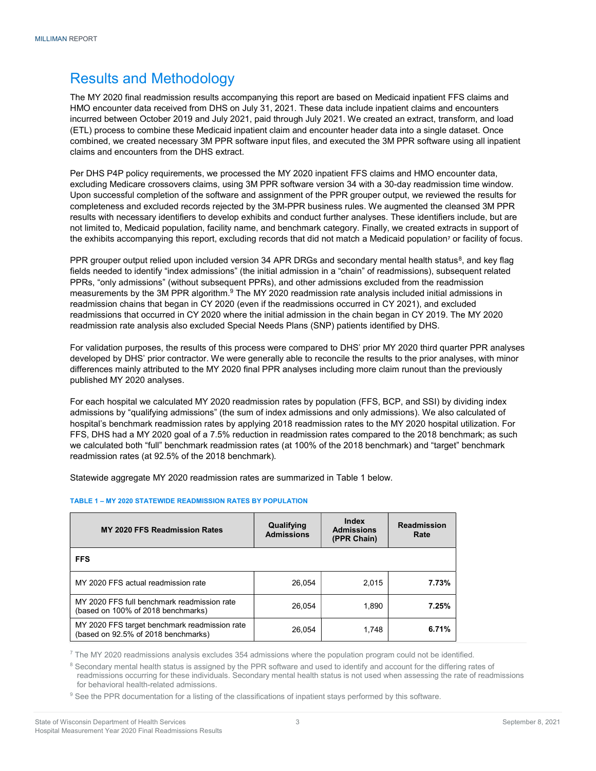## Results and Methodology

The MY 2020 final readmission results accompanying this report are based on Medicaid inpatient FFS claims and HMO encounter data received from DHS on July 31, 2021. These data include inpatient claims and encounters incurred between October 2019 and July 2021, paid through July 2021. We created an extract, transform, and load (ETL) process to combine these Medicaid inpatient claim and encounter header data into a single dataset. Once combined, we created necessary 3M PPR software input files, and executed the 3M PPR software using all inpatient claims and encounters from the DHS extract.

Per DHS P4P policy requirements, we processed the MY 2020 inpatient FFS claims and HMO encounter data, excluding Medicare crossovers claims, using 3M PPR software version 34 with a 30-day readmission time window. Upon successful completion of the software and assignment of the PPR grouper output, we reviewed the results for completeness and excluded records rejected by the 3M-PPR business rules. We augmented the cleansed 3M PPR results with necessary identifiers to develop exhibits and conduct further analyses. These identifiers include, but are not limited to, Medicaid population, facility name, and benchmark category. Finally, we created extracts in support of the exhibits accompanying this report, excluding records that did not match a Medicaid population<sup>7</sup> or facility of focus.

PPR grouper output relied upon included version 34 APR DRGs and secondary mental health status<sup>8</sup>, and key flag fields needed to identify "index admissions" (the initial admission in a "chain" of readmissions), subsequent related PPRs, "only admissions" (without subsequent PPRs), and other admissions excluded from the readmission measurements by the 3M PPR algorithm.<sup>9</sup> The MY 2020 readmission rate analysis included initial admissions in readmission chains that began in CY 2020 (even if the readmissions occurred in CY 2021), and excluded readmissions that occurred in CY 2020 where the initial admission in the chain began in CY 2019. The MY 2020 readmission rate analysis also excluded Special Needs Plans (SNP) patients identified by DHS.

For validation purposes, the results of this process were compared to DHS' prior MY 2020 third quarter PPR analyses developed by DHS' prior contractor. We were generally able to reconcile the results to the prior analyses, with minor differences mainly attributed to the MY 2020 final PPR analyses including more claim runout than the previously published MY 2020 analyses.

For each hospital we calculated MY 2020 readmission rates by population (FFS, BCP, and SSI) by dividing index admissions by "qualifying admissions" (the sum of index admissions and only admissions). We also calculated of hospital's benchmark readmission rates by applying 2018 readmission rates to the MY 2020 hospital utilization. For FFS, DHS had a MY 2020 goal of a 7.5% reduction in readmission rates compared to the 2018 benchmark; as such we calculated both "full" benchmark readmission rates (at 100% of the 2018 benchmark) and "target" benchmark readmission rates (at 92.5% of the 2018 benchmark).

Statewide aggregate MY 2020 readmission rates are summarized in Table 1 below.

#### TABLE 1 – MY 2020 STATEWIDE READMISSION RATES BY POPULATION

| <b>MY 2020 FFS Readmission Rates</b>                                                 | Qualifying<br><b>Admissions</b> | Index<br><b>Admissions</b><br>(PPR Chain) | <b>Readmission</b><br>Rate |  |  |
|--------------------------------------------------------------------------------------|---------------------------------|-------------------------------------------|----------------------------|--|--|
| <b>FFS</b>                                                                           |                                 |                                           |                            |  |  |
| MY 2020 FFS actual readmission rate                                                  | 26.054                          | 2.015                                     | 7.73%                      |  |  |
| MY 2020 FFS full benchmark readmission rate<br>(based on 100% of 2018 benchmarks)    | 26,054                          | 1.890                                     | 7.25%                      |  |  |
| MY 2020 FFS target benchmark readmission rate<br>(based on 92.5% of 2018 benchmarks) | 26,054                          | 1.748                                     | 6.71%                      |  |  |

 $^7$  The MY 2020 readmissions analysis excludes 354 admissions where the population program could not be identified.

<sup>8</sup> Secondary mental health status is assigned by the PPR software and used to identify and account for the differing rates of readmissions occurring for these individuals. Secondary mental health status is not used when assessing the rate of readmissions for behavioral health-related admissions.

<sup>9</sup> See the PPR documentation for a listing of the classifications of inpatient stays performed by this software.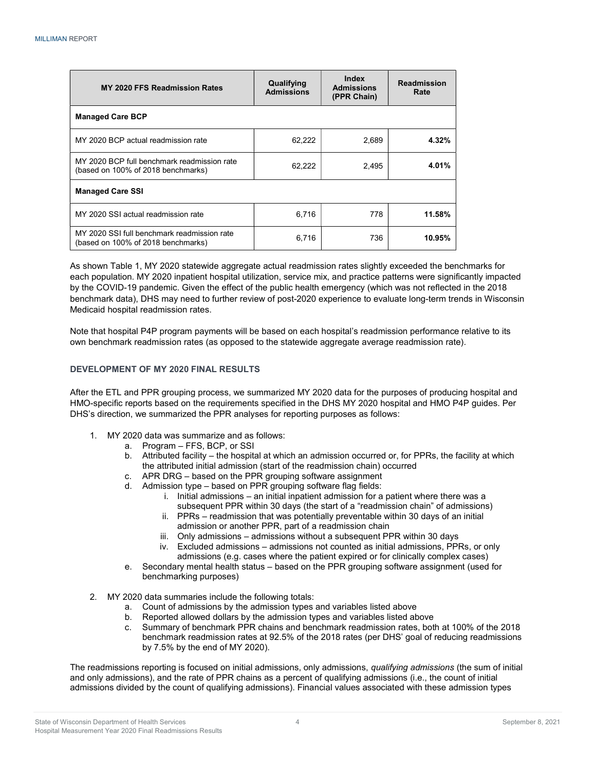| MY 2020 FFS Readmission Rates                                                     | Qualifying<br><b>Admissions</b> | Index<br><b>Admissions</b><br>(PPR Chain) | <b>Readmission</b><br>Rate |  |  |
|-----------------------------------------------------------------------------------|---------------------------------|-------------------------------------------|----------------------------|--|--|
| <b>Managed Care BCP</b>                                                           |                                 |                                           |                            |  |  |
| MY 2020 BCP actual readmission rate                                               | 62,222                          | 2,689                                     | 4.32%                      |  |  |
| MY 2020 BCP full benchmark readmission rate<br>(based on 100% of 2018 benchmarks) | 62,222                          | 2,495                                     | 4.01%                      |  |  |
| <b>Managed Care SSI</b>                                                           |                                 |                                           |                            |  |  |
| MY 2020 SSI actual readmission rate                                               | 6.716                           | 778                                       | 11.58%                     |  |  |
| MY 2020 SSI full benchmark readmission rate<br>(based on 100% of 2018 benchmarks) | 6,716                           | 736                                       | 10.95%                     |  |  |

As shown Table 1, MY 2020 statewide aggregate actual readmission rates slightly exceeded the benchmarks for each population. MY 2020 inpatient hospital utilization, service mix, and practice patterns were significantly impacted by the COVID-19 pandemic. Given the effect of the public health emergency (which was not reflected in the 2018 benchmark data), DHS may need to further review of post-2020 experience to evaluate long-term trends in Wisconsin Medicaid hospital readmission rates.

Note that hospital P4P program payments will be based on each hospital's readmission performance relative to its own benchmark readmission rates (as opposed to the statewide aggregate average readmission rate).

#### DEVELOPMENT OF MY 2020 FINAL RESULTS

After the ETL and PPR grouping process, we summarized MY 2020 data for the purposes of producing hospital and HMO-specific reports based on the requirements specified in the DHS MY 2020 hospital and HMO P4P guides. Per DHS's direction, we summarized the PPR analyses for reporting purposes as follows:

- 1. MY 2020 data was summarize and as follows:
	- a. Program FFS, BCP, or SSI
	- b. Attributed facility the hospital at which an admission occurred or, for PPRs, the facility at which the attributed initial admission (start of the readmission chain) occurred
	- c. APR DRG based on the PPR grouping software assignment
	- d. Admission type based on PPR grouping software flag fields:
		- i. Initial admissions an initial inpatient admission for a patient where there was a subsequent PPR within 30 days (the start of a "readmission chain" of admissions)
		- ii. PPRs readmission that was potentially preventable within 30 days of an initial admission or another PPR, part of a readmission chain
		- iii. Only admissions admissions without a subsequent PPR within 30 days
		- iv. Excluded admissions admissions not counted as initial admissions, PPRs, or only admissions (e.g. cases where the patient expired or for clinically complex cases)
	- e. Secondary mental health status based on the PPR grouping software assignment (used for benchmarking purposes)
- 2. MY 2020 data summaries include the following totals:
	- a. Count of admissions by the admission types and variables listed above
	- b. Reported allowed dollars by the admission types and variables listed above
	- c. Summary of benchmark PPR chains and benchmark readmission rates, both at 100% of the 2018 benchmark readmission rates at 92.5% of the 2018 rates (per DHS' goal of reducing readmissions by 7.5% by the end of MY 2020).

The readmissions reporting is focused on initial admissions, only admissions, qualifying admissions (the sum of initial and only admissions), and the rate of PPR chains as a percent of qualifying admissions (i.e., the count of initial admissions divided by the count of qualifying admissions). Financial values associated with these admission types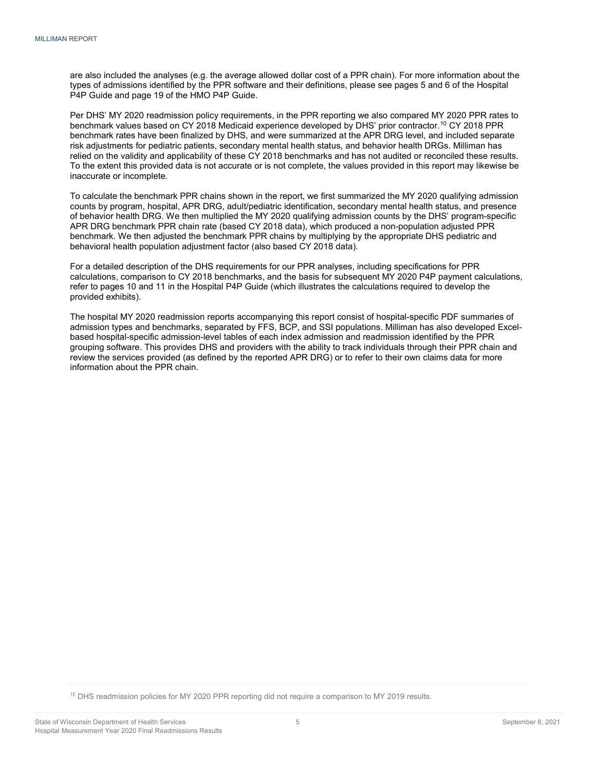are also included the analyses (e.g. the average allowed dollar cost of a PPR chain). For more information about the types of admissions identified by the PPR software and their definitions, please see pages 5 and 6 of the Hospital P4P Guide and page 19 of the HMO P4P Guide.

Per DHS' MY 2020 readmission policy requirements, in the PPR reporting we also compared MY 2020 PPR rates to benchmark values based on CY 2018 Medicaid experience developed by DHS' prior contractor.<sup>10</sup> CY 2018 PPR benchmark rates have been finalized by DHS, and were summarized at the APR DRG level, and included separate risk adjustments for pediatric patients, secondary mental health status, and behavior health DRGs. Milliman has relied on the validity and applicability of these CY 2018 benchmarks and has not audited or reconciled these results. To the extent this provided data is not accurate or is not complete, the values provided in this report may likewise be inaccurate or incomplete.

To calculate the benchmark PPR chains shown in the report, we first summarized the MY 2020 qualifying admission counts by program, hospital, APR DRG, adult/pediatric identification, secondary mental health status, and presence of behavior health DRG. We then multiplied the MY 2020 qualifying admission counts by the DHS' program-specific APR DRG benchmark PPR chain rate (based CY 2018 data), which produced a non-population adjusted PPR benchmark. We then adjusted the benchmark PPR chains by multiplying by the appropriate DHS pediatric and behavioral health population adjustment factor (also based CY 2018 data).

For a detailed description of the DHS requirements for our PPR analyses, including specifications for PPR calculations, comparison to CY 2018 benchmarks, and the basis for subsequent MY 2020 P4P payment calculations, refer to pages 10 and 11 in the Hospital P4P Guide (which illustrates the calculations required to develop the provided exhibits).

The hospital MY 2020 readmission reports accompanying this report consist of hospital-specific PDF summaries of admission types and benchmarks, separated by FFS, BCP, and SSI populations. Milliman has also developed Excelbased hospital-specific admission-level tables of each index admission and readmission identified by the PPR grouping software. This provides DHS and providers with the ability to track individuals through their PPR chain and review the services provided (as defined by the reported APR DRG) or to refer to their own claims data for more information about the PPR chain.

<sup>10</sup> DHS readmission policies for MY 2020 PPR reporting did not require a comparison to MY 2019 results.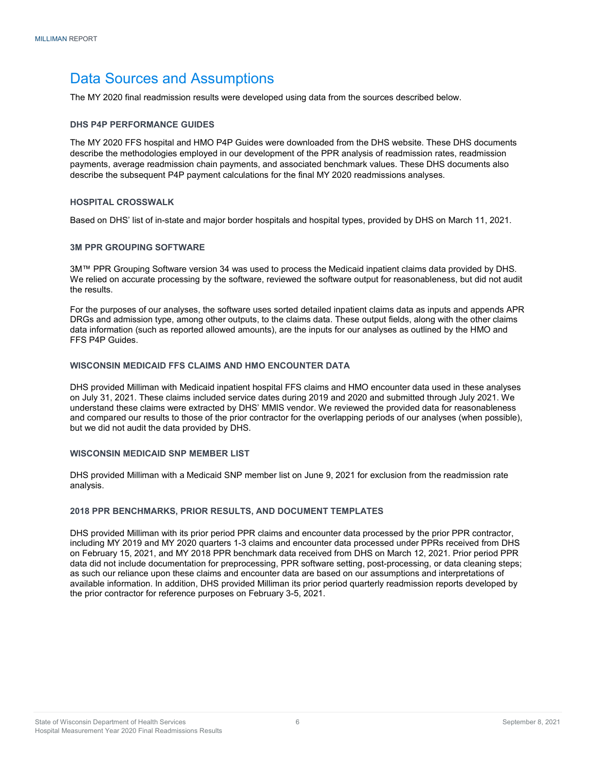## Data Sources and Assumptions

The MY 2020 final readmission results were developed using data from the sources described below.

#### DHS P4P PERFORMANCE GUIDES

The MY 2020 FFS hospital and HMO P4P Guides were downloaded from the DHS website. These DHS documents describe the methodologies employed in our development of the PPR analysis of readmission rates, readmission payments, average readmission chain payments, and associated benchmark values. These DHS documents also describe the subsequent P4P payment calculations for the final MY 2020 readmissions analyses.

#### HOSPITAL CROSSWALK

Based on DHS' list of in-state and major border hospitals and hospital types, provided by DHS on March 11, 2021.

#### 3M PPR GROUPING SOFTWARE

3M™ PPR Grouping Software version 34 was used to process the Medicaid inpatient claims data provided by DHS. We relied on accurate processing by the software, reviewed the software output for reasonableness, but did not audit the results.

For the purposes of our analyses, the software uses sorted detailed inpatient claims data as inputs and appends APR DRGs and admission type, among other outputs, to the claims data. These output fields, along with the other claims data information (such as reported allowed amounts), are the inputs for our analyses as outlined by the HMO and FFS P4P Guides.

#### WISCONSIN MEDICAID FFS CLAIMS AND HMO ENCOUNTER DATA

DHS provided Milliman with Medicaid inpatient hospital FFS claims and HMO encounter data used in these analyses on July 31, 2021. These claims included service dates during 2019 and 2020 and submitted through July 2021. We understand these claims were extracted by DHS' MMIS vendor. We reviewed the provided data for reasonableness and compared our results to those of the prior contractor for the overlapping periods of our analyses (when possible), but we did not audit the data provided by DHS.

#### WISCONSIN MEDICAID SNP MEMBER LIST

DHS provided Milliman with a Medicaid SNP member list on June 9, 2021 for exclusion from the readmission rate analysis.

#### 2018 PPR BENCHMARKS, PRIOR RESULTS, AND DOCUMENT TEMPLATES

DHS provided Milliman with its prior period PPR claims and encounter data processed by the prior PPR contractor, including MY 2019 and MY 2020 quarters 1-3 claims and encounter data processed under PPRs received from DHS on February 15, 2021, and MY 2018 PPR benchmark data received from DHS on March 12, 2021. Prior period PPR data did not include documentation for preprocessing, PPR software setting, post-processing, or data cleaning steps; as such our reliance upon these claims and encounter data are based on our assumptions and interpretations of available information. In addition, DHS provided Milliman its prior period quarterly readmission reports developed by the prior contractor for reference purposes on February 3-5, 2021.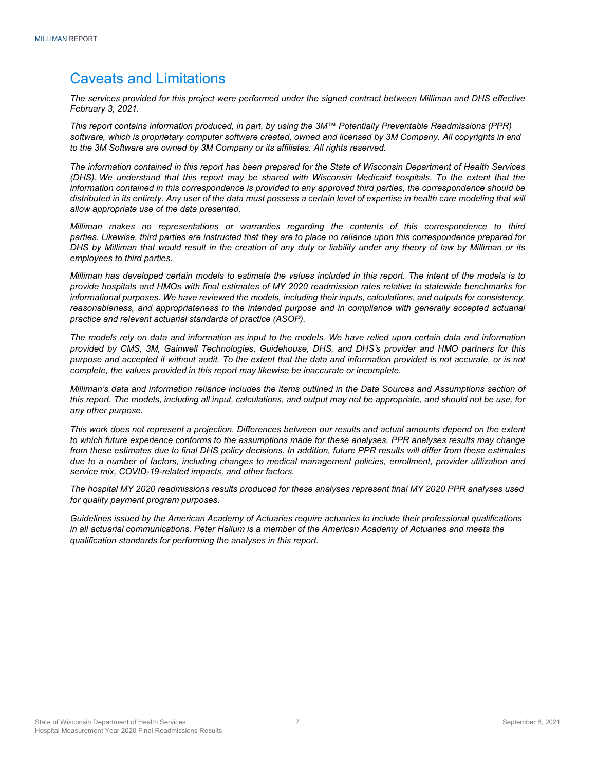## Caveats and Limitations

The services provided for this project were performed under the signed contract between Milliman and DHS effective February 3, 2021.

This report contains information produced, in part, by using the 3M™ Potentially Preventable Readmissions (PPR) software, which is proprietary computer software created, owned and licensed by 3M Company. All copyrights in and to the 3M Software are owned by 3M Company or its affiliates. All rights reserved.

The information contained in this report has been prepared for the State of Wisconsin Department of Health Services (DHS). We understand that this report may be shared with Wisconsin Medicaid hospitals. To the extent that the information contained in this correspondence is provided to any approved third parties, the correspondence should be distributed in its entirety. Any user of the data must possess a certain level of expertise in health care modeling that will allow appropriate use of the data presented.

Milliman makes no representations or warranties regarding the contents of this correspondence to third parties. Likewise, third parties are instructed that they are to place no reliance upon this correspondence prepared for DHS by Milliman that would result in the creation of any duty or liability under any theory of law by Milliman or its employees to third parties.

Milliman has developed certain models to estimate the values included in this report. The intent of the models is to provide hospitals and HMOs with final estimates of MY 2020 readmission rates relative to statewide benchmarks for informational purposes. We have reviewed the models, including their inputs, calculations, and outputs for consistency, reasonableness, and appropriateness to the intended purpose and in compliance with generally accepted actuarial practice and relevant actuarial standards of practice (ASOP).

The models rely on data and information as input to the models. We have relied upon certain data and information provided by CMS, 3M, Gainwell Technologies, Guidehouse, DHS, and DHS's provider and HMO partners for this purpose and accepted it without audit. To the extent that the data and information provided is not accurate, or is not complete, the values provided in this report may likewise be inaccurate or incomplete.

Milliman's data and information reliance includes the items outlined in the Data Sources and Assumptions section of this report. The models, including all input, calculations, and output may not be appropriate, and should not be use, for any other purpose.

This work does not represent a projection. Differences between our results and actual amounts depend on the extent to which future experience conforms to the assumptions made for these analyses. PPR analyses results may change from these estimates due to final DHS policy decisions. In addition, future PPR results will differ from these estimates due to a number of factors, including changes to medical management policies, enrollment, provider utilization and service mix, COVID-19-related impacts, and other factors.

The hospital MY 2020 readmissions results produced for these analyses represent final MY 2020 PPR analyses used for quality payment program purposes.

Guidelines issued by the American Academy of Actuaries require actuaries to include their professional qualifications in all actuarial communications. Peter Hallum is a member of the American Academy of Actuaries and meets the qualification standards for performing the analyses in this report.